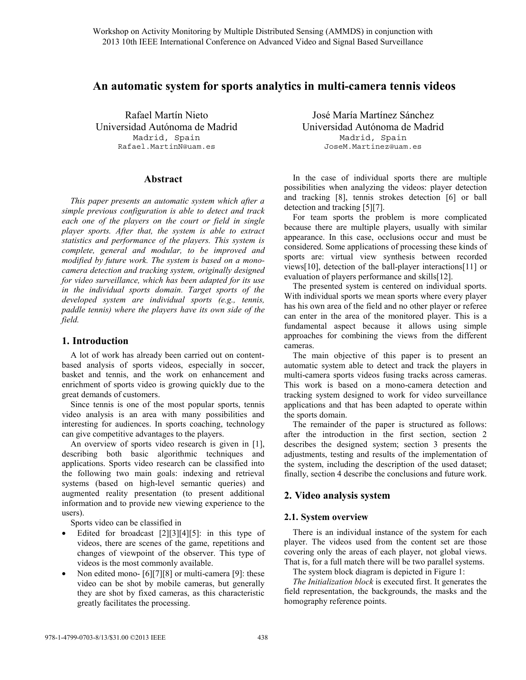# **An automatic system for sports analytics in multi-camera tennis videos**

Rafael Martín Nieto Universidad Autónoma de Madrid Madrid, Spain Rafael.MartinN@uam.es

## **Abstract**

*This paper presents an automatic system which after a simple previous configuration is able to detect and track each one of the players on the court or field in single player sports. After that, the system is able to extract statistics and performance of the players. This system is complete, general and modular, to be improved and modified by future work. The system is based on a monocamera detection and tracking system, originally designed for video surveillance, which has been adapted for its use in the individual sports domain. Target sports of the developed system are individual sports (e.g., tennis, paddle tennis) where the players have its own side of the field.* 

# **1. Introduction**

A lot of work has already been carried out on contentbased analysis of sports videos, especially in soccer, basket and tennis, and the work on enhancement and enrichment of sports video is growing quickly due to the great demands of customers.

Since tennis is one of the most popular sports, tennis video analysis is an area with many possibilities and interesting for audiences. In sports coaching, technology can give competitive advantages to the players.

An overview of sports video research is given in [1], describing both basic algorithmic techniques and applications. Sports video research can be classified into the following two main goals: indexing and retrieval systems (based on high-level semantic queries) and augmented reality presentation (to present additional information and to provide new viewing experience to the users).

Sports video can be classified in

- Edited for broadcast  $[2][3][4][5]$ : in this type of videos, there are scenes of the game, repetitions and changes of viewpoint of the observer. This type of videos is the most commonly available.
- Non edited mono- [6][7][8] or multi-camera [9]: these video can be shot by mobile cameras, but generally they are shot by fixed cameras, as this characteristic greatly facilitates the processing.

José María Martínez Sánchez Universidad Autónoma de Madrid Madrid, Spain JoseM.Martinez@uam.es

In the case of individual sports there are multiple possibilities when analyzing the videos: player detection and tracking [8], tennis strokes detection [6] or ball detection and tracking [5][7].

For team sports the problem is more complicated because there are multiple players, usually with similar appearance. In this case, occlusions occur and must be considered. Some applications of processing these kinds of sports are: virtual view synthesis between recorded views[10], detection of the ball-player interactions[11] or evaluation of players performance and skills[12].

The presented system is centered on individual sports. With individual sports we mean sports where every player has his own area of the field and no other player or referee can enter in the area of the monitored player. This is a fundamental aspect because it allows using simple approaches for combining the views from the different cameras.

The main objective of this paper is to present an automatic system able to detect and track the players in multi-camera sports videos fusing tracks across cameras. This work is based on a mono-camera detection and tracking system designed to work for video surveillance applications and that has been adapted to operate within the sports domain.

The remainder of the paper is structured as follows: after the introduction in the first section, section 2 describes the designed system; section 3 presents the adjustments, testing and results of the implementation of the system, including the description of the used dataset; finally, section 4 describe the conclusions and future work.

# **2. Video analysis system**

# **2.1. System overview**

There is an individual instance of the system for each player. The videos used from the content set are those covering only the areas of each player, not global views. That is, for a full match there will be two parallel systems.

The system block diagram is depicted in Figure 1:

*The Initialization block* is executed first. It generates the field representation, the backgrounds, the masks and the homography reference points.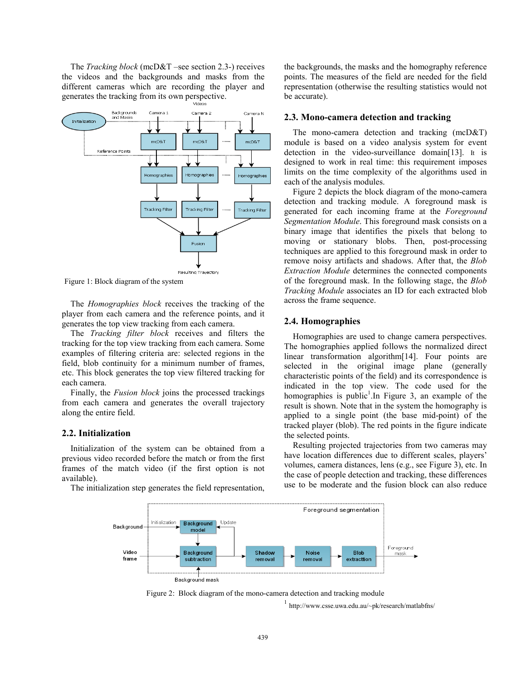The *Tracking block* (mcD&T –see section 2.3-) receives the videos and the backgrounds and masks from the different cameras which are recording the player and generates the tracking from its own perspective.



Figure 1: Block diagram of the system

The *Homographies block* receives the tracking of the player from each camera and the reference points, and it generates the top view tracking from each camera.

The *Tracking filter block* receives and filters the tracking for the top view tracking from each camera. Some examples of filtering criteria are: selected regions in the field, blob continuity for a minimum number of frames, etc. This block generates the top view filtered tracking for each camera.

Finally, the *Fusion block* joins the processed trackings from each camera and generates the overall trajectory along the entire field.

#### **2.2. Initialization**

Initialization of the system can be obtained from a previous video recorded before the match or from the first frames of the match video (if the first option is not available).

The initialization step generates the field representation,

the backgrounds, the masks and the homography reference points. The measures of the field are needed for the field representation (otherwise the resulting statistics would not be accurate).

#### **2.3. Mono-camera detection and tracking**

The mono-camera detection and tracking (mcD&T) module is based on a video analysis system for event detection in the video-surveillance domain[13]. It is designed to work in real time: this requirement imposes limits on the time complexity of the algorithms used in each of the analysis modules.

Figure 2 depicts the block diagram of the mono-camera detection and tracking module. A foreground mask is generated for each incoming frame at the *Foreground Segmentation Module*. This foreground mask consists on a binary image that identifies the pixels that belong to moving or stationary blobs. Then, post-processing techniques are applied to this foreground mask in order to remove noisy artifacts and shadows. After that, the *Blob Extraction Module* determines the connected components of the foreground mask. In the following stage, the *Blob Tracking Module* associates an ID for each extracted blob across the frame sequence.

## **2.4. Homographies**

Homographies are used to change camera perspectives. The homographies applied follows the normalized direct linear transformation algorithm[14]. Four points are selected in the original image plane (generally characteristic points of the field) and its correspondence is indicated in the top view. The code used for the homographies is public<sup>1</sup>. In Figure 3, an example of the result is shown. Note that in the system the homography is applied to a single point (the base mid-point) of the tracked player (blob). The red points in the figure indicate the selected points.

Resulting projected trajectories from two cameras may have location differences due to different scales, players' volumes, camera distances, lens (e.g., see Figure 3), etc. In the case of people detection and tracking, these differences use to be moderate and the fusion block can also reduce



Figure 2: Block diagram of the mono-camera detection and tracking module

<sup>1</sup> http://www.csse.uwa.edu.au/~pk/research/matlabfns/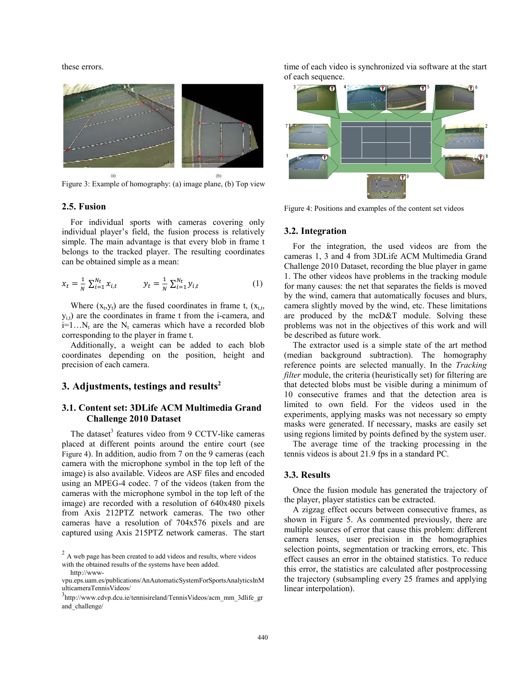these errors.



Figure 3: Example of homography: (a) image plane, (b) Top view

#### **2.5. Fusion**

For individual sports with cameras covering only individual player's field, the fusion process is relatively simple. The main advantage is that every blob in frame t belongs to the tracked player. The resulting coordinates can be obtained simple as a mean:

$$
x_t = \frac{1}{N} \sum_{i=1}^{N_t} x_{i,t} \qquad y_t = \frac{1}{N} \sum_{i=1}^{N_t} y_{i,t} \qquad (1)
$$

Where  $(x_t, y_t)$  are the fused coordinates in frame t,  $(x_{i,t}, y_t)$  $y_{i,t}$ ) are the coordinates in frame t from the i-camera, and  $i=1...N_t$  are the  $N_t$  cameras which have a recorded blob corresponding to the player in frame t.

Additionally, a weight can be added to each blob coordinates depending on the position, height and precision of each camera.

## **3. Adjustments, testings and results2**

# **3.1. Content set: 3DLife ACM Multimedia Grand Challenge 2010 Dataset**

The dataset<sup>3</sup> features video from 9 CCTV-like cameras placed at different points around the entire court (see Figure 4). In addition, audio from 7 on the 9 cameras (each camera with the microphone symbol in the top left of the image) is also available. Videos are ASF files and encoded using an MPEG-4 codec. 7 of the videos (taken from the cameras with the microphone symbol in the top left of the image) are recorded with a resolution of 640x480 pixels from Axis 212PTZ network cameras. The two other cameras have a resolution of 704x576 pixels and are captured using Axis 215PTZ network cameras. The start

time of each video is synchronized via software at the start of each sequence.



Figure 4: Positions and examples of the content set videos

#### **3.2. Integration**

For the integration, the used videos are from the cameras 1, 3 and 4 from 3DLife ACM Multimedia Grand Challenge 2010 Dataset, recording the blue player in game 1. The other videos have problems in the tracking module for many causes: the net that separates the fields is moved by the wind, camera that automatically focuses and blurs, camera slightly moved by the wind, etc. These limitations are produced by the mcD&T module. Solving these problems was not in the objectives of this work and will be described as future work.

The extractor used is a simple state of the art method (median background subtraction). The homography reference points are selected manually. In the *Tracking filter* module, the criteria (heuristically set) for filtering are that detected blobs must be visible during a minimum of 10 consecutive frames and that the detection area is limited to own field. For the videos used in the experiments, applying masks was not necessary so empty masks were generated. If necessary, masks are easily set using regions limited by points defined by the system user.

The average time of the tracking processing in the tennis videos is about 21.9 fps in a standard PC.

### **3.3. Results**

Once the fusion module has generated the trajectory of the player, player statistics can be extracted.

A zigzag effect occurs between consecutive frames, as shown in Figure 5. As commented previously, there are multiple sources of error that cause this problem: different camera lenses, user precision in the homographies selection points, segmentation or tracking errors, etc. This effect causes an error in the obtained statistics. To reduce this error, the statistics are calculated after postprocessing the trajectory (subsampling every 25 frames and applying linear interpolation).

 $2A$  web page has been created to add videos and results, where videos with the obtained results of the systems have been added.

http://www-

vpu.eps.uam.es/publications/AnAutomaticSystemForSportsAnalyticsInM ulticameraTennisVideos/

<sup>3</sup> http://www.cdvp.dcu.ie/tennisireland/TennisVideos/acm\_mm\_3dlife\_gr and\_challenge/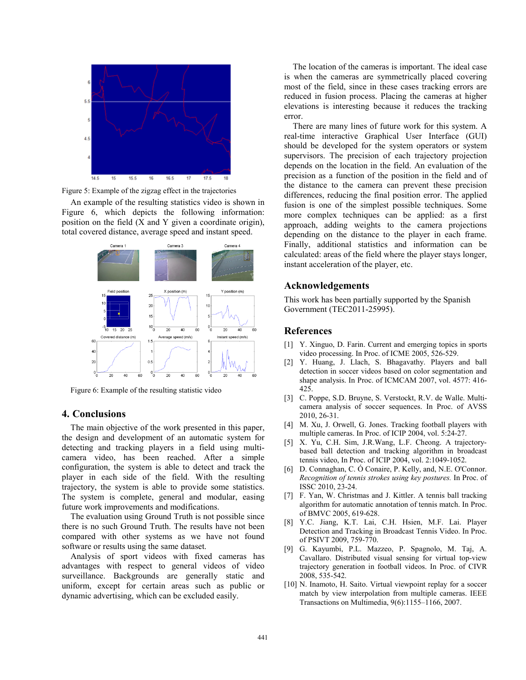

Figure 5: Example of the zigzag effect in the trajectories

An example of the resulting statistics video is shown in Figure 6, which depicts the following information: position on the field (X and Y given a coordinate origin), total covered distance, average speed and instant speed.



Figure 6: Example of the resulting statistic video

#### **4. Conclusions**

The main objective of the work presented in this paper, the design and development of an automatic system for detecting and tracking players in a field using multicamera video, has been reached. After a simple configuration, the system is able to detect and track the player in each side of the field. With the resulting trajectory, the system is able to provide some statistics. The system is complete, general and modular, easing future work improvements and modifications.

The evaluation using Ground Truth is not possible since there is no such Ground Truth. The results have not been compared with other systems as we have not found software or results using the same dataset.

Analysis of sport videos with fixed cameras has advantages with respect to general videos of video surveillance. Backgrounds are generally static and uniform, except for certain areas such as public or dynamic advertising, which can be excluded easily.

The location of the cameras is important. The ideal case is when the cameras are symmetrically placed covering most of the field, since in these cases tracking errors are reduced in fusion process. Placing the cameras at higher elevations is interesting because it reduces the tracking error.

There are many lines of future work for this system. A real-time interactive Graphical User Interface (GUI) should be developed for the system operators or system supervisors. The precision of each trajectory projection depends on the location in the field. An evaluation of the precision as a function of the position in the field and of the distance to the camera can prevent these precision differences, reducing the final position error. The applied fusion is one of the simplest possible techniques. Some more complex techniques can be applied: as a first approach, adding weights to the camera projections depending on the distance to the player in each frame. Finally, additional statistics and information can be calculated: areas of the field where the player stays longer, instant acceleration of the player, etc.

## **Acknowledgements**

This work has been partially supported by the Spanish Government (TEC2011-25995).

# **References**

- [1] Y. Xinguo, D. Farin. Current and emerging topics in sports video processing. In Proc. of ICME 2005, 526-529.
- [2] Y. Huang, J. Llach, S. Bhagavathy. Players and ball detection in soccer videos based on color segmentation and shape analysis. In Proc. of ICMCAM 2007, vol. 4577: 416- 425.
- [3] C. Poppe, S.D. Bruyne, S. Verstockt, R.V. de Walle. Multicamera analysis of soccer sequences. In Proc. of AVSS 2010, 26-31.
- [4] M. Xu, J. Orwell, G. Jones. Tracking football players with multiple cameras. In Proc. of ICIP 2004, vol. 5:24-27.
- [5] X. Yu, C.H. Sim, J.R.Wang, L.F. Cheong. A trajectorybased ball detection and tracking algorithm in broadcast tennis video, In Proc. of ICIP 2004, vol. 2:1049-1052.
- [6] D. Connaghan, C. Ó Conaire, P. Kelly, and, N.E. O'Connor. *Recognition of tennis strokes using key postures.* In Proc. of ISSC 2010, 23-24.
- [7] F. Yan, W. Christmas and J. Kittler. A tennis ball tracking algorithm for automatic annotation of tennis match. In Proc. of BMVC 2005, 619-628.
- [8] Y.C. Jiang, K.T. Lai, C.H. Hsien, M.F. Lai. Player Detection and Tracking in Broadcast Tennis Video. In Proc. of PSIVT 2009, 759-770.
- [9] G. Kayumbi, P.L. Mazzeo, P. Spagnolo, M. Taj, A. Cavallaro. Distributed visual sensing for virtual top-view trajectory generation in football videos. In Proc. of CIVR 2008, 535-542.
- [10] N. Inamoto, H. Saito. Virtual viewpoint replay for a soccer match by view interpolation from multiple cameras. IEEE Transactions on Multimedia, 9(6):1155–1166, 2007.